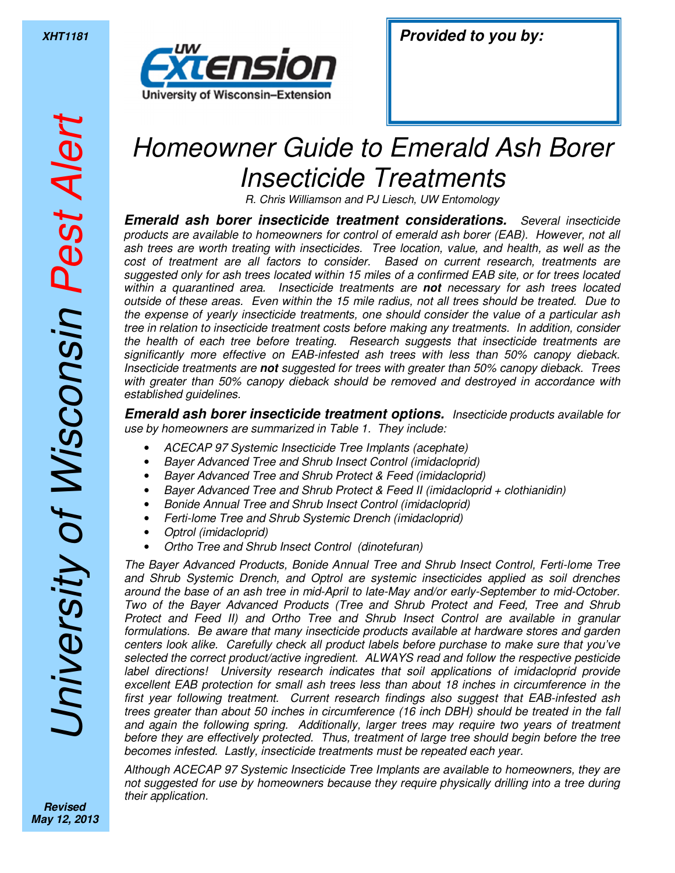

## *Homeowner Guide to Emerald Ash Borer Insecticide Treatments*

*R. Chris Williamson and PJ Liesch, UW Entomology* 

*Emerald ash borer insecticide treatment considerations. Several insecticide products are available to homeowners for control of emerald ash borer (EAB). However, not all ash trees are worth treating with insecticides. Tree location, value, and health, as well as the cost of treatment are all factors to consider. Based on current research, treatments are suggested only for ash trees located within 15 miles of a confirmed EAB site, or for trees located within a quarantined area. Insecticide treatments are not necessary for ash trees located outside of these areas. Even within the 15 mile radius, not all trees should be treated. Due to the expense of yearly insecticide treatments, one should consider the value of a particular ash tree in relation to insecticide treatment costs before making any treatments. In addition, consider the health of each tree before treating. Research suggests that insecticide treatments are significantly more effective on EAB-infested ash trees with less than 50% canopy dieback. Insecticide treatments are not suggested for trees with greater than 50% canopy dieback. Trees with greater than 50% canopy dieback should be removed and destroyed in accordance with established guidelines.* 

*Emerald ash borer insecticide treatment options. Insecticide products available for use by homeowners are summarized in Table 1. They include:* 

- *ACECAP 97 Systemic Insecticide Tree Implants (acephate)*
- *Bayer Advanced Tree and Shrub Insect Control (imidacloprid)*
- *Bayer Advanced Tree and Shrub Protect & Feed (imidacloprid)*
- *Bayer Advanced Tree and Shrub Protect & Feed II (imidacloprid + clothianidin)*
- *Bonide Annual Tree and Shrub Insect Control (imidacloprid)*
- *Ferti-lome Tree and Shrub Systemic Drench (imidacloprid)*
- *Optrol (imidacloprid)*
- *Ortho Tree and Shrub Insect Control (dinotefuran)*

*The Bayer Advanced Products, Bonide Annual Tree and Shrub Insect Control, Ferti-lome Tree and Shrub Systemic Drench, and Optrol are systemic insecticides applied as soil drenches around the base of an ash tree in mid-April to late-May and/or early-September to mid-October. Two of the Bayer Advanced Products (Tree and Shrub Protect and Feed, Tree and Shrub Protect and Feed II) and Ortho Tree and Shrub Insect Control are available in granular formulations. Be aware that many insecticide products available at hardware stores and garden centers look alike. Carefully check all product labels before purchase to make sure that you've selected the correct product/active ingredient. ALWAYS read and follow the respective pesticide label directions! University research indicates that soil applications of imidacloprid provide excellent EAB protection for small ash trees less than about 18 inches in circumference in the first year following treatment. Current research findings also suggest that EAB-infested ash trees greater than about 50 inches in circumference (16 inch DBH) should be treated in the fall and again the following spring. Additionally, larger trees may require two years of treatment before they are effectively protected. Thus, treatment of large tree should begin before the tree becomes infested. Lastly, insecticide treatments must be repeated each year.* 

*Although ACECAP 97 Systemic Insecticide Tree Implants are available to homeowners, they are not suggested for use by homeowners because they require physically drilling into a tree during their application.* 

*University of Wisconsin Pest Alert* Jniversity of Wisconsin Pest Aleri

*Revised May 12, 2013*